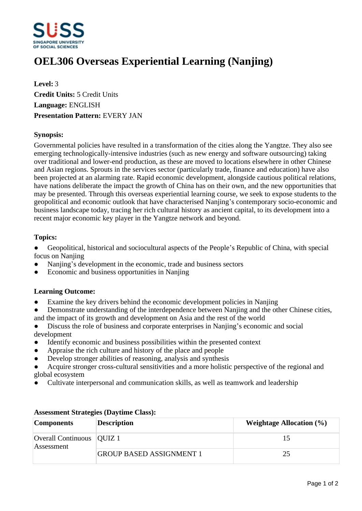

# **OEL306 Overseas Experiential Learning (Nanjing)**

**Level:** 3 **Credit Units:** 5 Credit Units **Language:** ENGLISH **Presentation Pattern:** EVERY JAN

### **Synopsis:**

Governmental policies have resulted in a transformation of the cities along the Yangtze. They also see emerging technologically-intensive industries (such as new energy and software outsourcing) taking over traditional and lower-end production, as these are moved to locations elsewhere in other Chinese and Asian regions. Sprouts in the services sector (particularly trade, finance and education) have also been projected at an alarming rate. Rapid economic development, alongside cautious political relations, have nations deliberate the impact the growth of China has on their own, and the new opportunities that may be presented. Through this overseas experiential learning course, we seek to expose students to the geopolitical and economic outlook that have characterised Nanjing's contemporary socio-economic and business landscape today, tracing her rich cultural history as ancient capital, to its development into a recent major economic key player in the Yangtze network and beyond.

### **Topics:**

• Geopolitical, historical and sociocultural aspects of the People's Republic of China, with special focus on Naniing

- Nanjing's development in the economic, trade and business sectors
- Economic and business opportunities in Nanjing

## **Learning Outcome:**

- Examine the key drivers behind the economic development policies in Nanjing
- Demonstrate understanding of the interdependence between Nanjing and the other Chinese cities, and the impact of its growth and development on Asia and the rest of the world
- Discuss the role of business and corporate enterprises in Nanjing's economic and social development
- Identify economic and business possibilities within the presented context
- Appraise the rich culture and history of the place and people
- Develop stronger abilities of reasoning, analysis and synthesis
- Acquire stronger cross-cultural sensitivities and a more holistic perspective of the regional and global ecosystem
- ƔCultivate interpersonal and communication skills, as well as teamwork and leadership

| <b>Components</b>                         | <b>Description</b>              | Weightage Allocation $(\% )$ |
|-------------------------------------------|---------------------------------|------------------------------|
| Overall Continuous   QUIZ 1<br>Assessment |                                 | ר ו                          |
|                                           | <b>GROUP BASED ASSIGNMENT 1</b> | 25                           |

#### **Assessment Strategies (Daytime Class):**